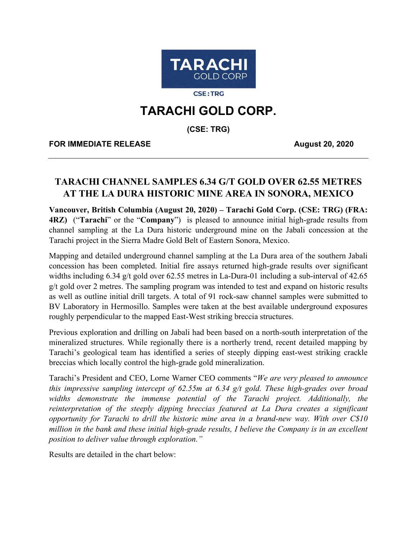

**CSE:TRG** 

# **TARACHI GOLD CORP.**

**(CSE: TRG)**

**FOR IMMEDIATE RELEASE August 20, 2020** 

## **TARACHI CHANNEL SAMPLES 6.34 G/T GOLD OVER 62.55 METRES AT THE LA DURA HISTORIC MINE AREA IN SONORA, MEXICO**

**Vancouver, British Columbia (August 20, 2020) – Tarachi Gold Corp. (CSE: TRG) (FRA: 4RZ)** ("**Tarachi**" or the "**Company**") is pleased to announce initial high-grade results from channel sampling at the La Dura historic underground mine on the Jabali concession at the Tarachi project in the Sierra Madre Gold Belt of Eastern Sonora, Mexico.

Mapping and detailed underground channel sampling at the La Dura area of the southern Jabali concession has been completed. Initial fire assays returned high-grade results over significant widths including 6.34 g/t gold over 62.55 metres in La-Dura-01 including a sub-interval of 42.65 g/t gold over 2 metres. The sampling program was intended to test and expand on historic results as well as outline initial drill targets. A total of 91 rock-saw channel samples were submitted to BV Laboratory in Hermosillo. Samples were taken at the best available underground exposures roughly perpendicular to the mapped East-West striking breccia structures.

Previous exploration and drilling on Jabali had been based on a north-south interpretation of the mineralized structures. While regionally there is a northerly trend, recent detailed mapping by Tarachi's geological team has identified a series of steeply dipping east-west striking crackle breccias which locally control the high-grade gold mineralization.

Tarachi's President and CEO, Lorne Warner CEO comments "*We are very pleased to announce this impressive sampling intercept of 62.55m at 6.34 g/t gold. These high-grades over broad widths demonstrate the immense potential of the Tarachi project. Additionally, the reinterpretation of the steeply dipping breccias featured at La Dura creates a significant opportunity for Tarachi to drill the historic mine area in a brand-new way. With over C\$10 million in the bank and these initial high-grade results, I believe the Company is in an excellent position to deliver value through exploration."*

Results are detailed in the chart below: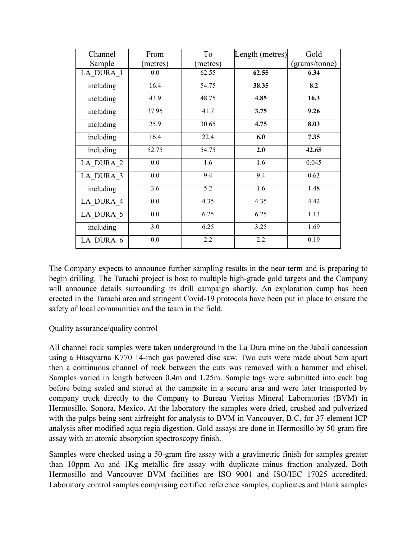| Channel   | From     | To       | Length (metres) | Gold          |
|-----------|----------|----------|-----------------|---------------|
| Sample    | (metres) | (metres) |                 | (grams/tonne) |
| LA DURA 1 | $0.0\,$  | 62.55    | 62.55           | 6.34          |
| including | 16.4     | 54.75    | 38.35           | 8.2           |
| including | 43.9     | 48.75    | 4.85            | 16.3          |
| including | 37.95    | 41.7     | 3.75            | 9.26          |
| including | 25.9     | 30.65    | 4.75            | 8.03          |
| including | 16.4     | 22.4     | 6.0             | 7.35          |
| including | 52.75    | 54.75    | 2.0             | 42.65         |
| LA DURA 2 | 0.0      | 1.6      | 1.6             | 0.045         |
| LA DURA 3 | 0.0      | 9.4      | 9.4             | 0.63          |
| including | 3.6      | 5.2      | 1.6             | 1.48          |
| LA DURA 4 | 0.0      | 4.35     | 4.35            | 4.42          |
| LA DURA 5 | 0.0      | 6.25     | 6.25            | 1.13          |
| including | 3.0      | 6.25     | 3.25            | 1.69          |
| LA DURA 6 | 0.0      | 2.2      | 2.2             | 0.19          |

The Company expects to announce further sampling results in the near term and is preparing to begin drilling. The Tarachi project is host to multiple high-grade gold targets and the Company will announce details surrounding its drill campaign shortly. An exploration camp has been erected in the Tarachi area and stringent Covid-19 protocols have been put in place to ensure the safety of local communities and the team in the field.

Quality assurance/quality control

All channel rock samples were taken underground in the La Dura mine on the Jabali concession using a Husqvarna K770 14-inch gas powered disc saw. Two cuts were made about 5cm apart then a continuous channel of rock between the cuts was removed with a hammer and chisel. Samples varied in length between 0.4m and 1.25m. Sample tags were submitted into each bag before being sealed and stored at the campsite in a secure area and were later transported by company truck directly to the Company to Bureau Veritas Mineral Laboratories (BVM) in Hermosillo, Sonora, Mexico. At the laboratory the samples were dried, crushed and pulverized with the pulps being sent airfreight for analysis to BVM in Vancouver, B.C. for 37-element ICP analysis after modified aqua regia digestion. Gold assays are done in Hermosillo by 50-gram fire assay with an atomic absorption spectroscopy finish.

Samples were checked using a 50-gram fire assay with a gravimetric finish for samples greater than 10ppm Au and 1Kg metallic fire assay with duplicate minus fraction analyzed. Both Hermosillo and Vancouver BVM facilities are ISO 9001 and ISO/IEC 17025 accredited. Laboratory control samples comprising certified reference samples, duplicates and blank samples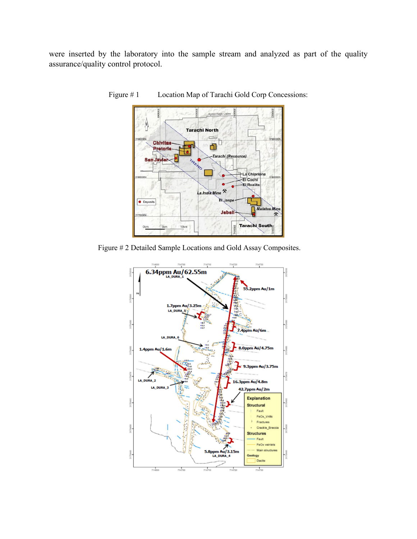were inserted by the laboratory into the sample stream and analyzed as part of the quality assurance/quality control protocol.



Figure #1 Location Map of Tarachi Gold Corp Concessions:

Figure # 2 Detailed Sample Locations and Gold Assay Composites.

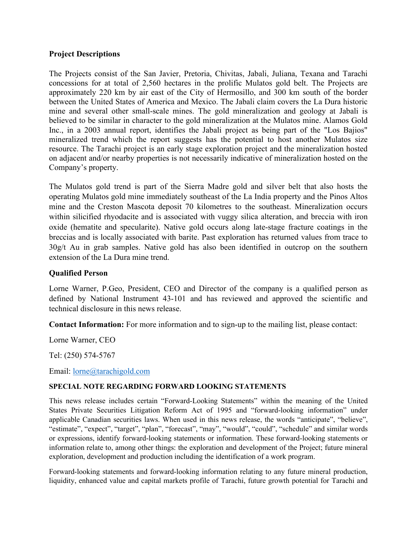#### **Project Descriptions**

The Projects consist of the San Javier, Pretoria, Chivitas, Jabali, Juliana, Texana and Tarachi concessions for at total of 2,560 hectares in the prolific Mulatos gold belt. The Projects are approximately 220 km by air east of the City of Hermosillo, and 300 km south of the border between the United States of America and Mexico. The Jabali claim covers the La Dura historic mine and several other small-scale mines. The gold mineralization and geology at Jabali is believed to be similar in character to the gold mineralization at the Mulatos mine. Alamos Gold Inc., in a 2003 annual report, identifies the Jabali project as being part of the "Los Bajios" mineralized trend which the report suggests has the potential to host another Mulatos size resource. The Tarachi project is an early stage exploration project and the mineralization hosted on adjacent and/or nearby properties is not necessarily indicative of mineralization hosted on the Company's property.

The Mulatos gold trend is part of the Sierra Madre gold and silver belt that also hosts the operating Mulatos gold mine immediately southeast of the La India property and the Pinos Altos mine and the Creston Mascota deposit 70 kilometres to the southeast. Mineralization occurs within silicified rhyodacite and is associated with vuggy silica alteration, and breccia with iron oxide (hematite and specularite). Native gold occurs along late-stage fracture coatings in the breccias and is locally associated with barite. Past exploration has returned values from trace to 30g/t Au in grab samples. Native gold has also been identified in outcrop on the southern extension of the La Dura mine trend.

### **Qualified Person**

Lorne Warner, P.Geo, President, CEO and Director of the company is a qualified person as defined by National Instrument 43-101 and has reviewed and approved the scientific and technical disclosure in this news release.

**Contact Information:** For more information and to sign-up to the mailing list, please contact:

Lorne Warner, CEO

Tel: (250) 574-5767

Email: [lorne@tarachigold.com](mailto:lorne@tarachigold.com)

#### **SPECIAL NOTE REGARDING FORWARD LOOKING STATEMENTS**

This news release includes certain "Forward‐Looking Statements" within the meaning of the United States Private Securities Litigation Reform Act of 1995 and "forward‐looking information" under applicable Canadian securities laws. When used in this news release, the words "anticipate", "believe", "estimate", "expect", "target", "plan", "forecast", "may", "would", "could", "schedule" and similar words or expressions, identify forward‐looking statements or information. These forward‐looking statements or information relate to, among other things: the exploration and development of the Project; future mineral exploration, development and production including the identification of a work program.

Forward‐looking statements and forward‐looking information relating to any future mineral production, liquidity, enhanced value and capital markets profile of Tarachi, future growth potential for Tarachi and